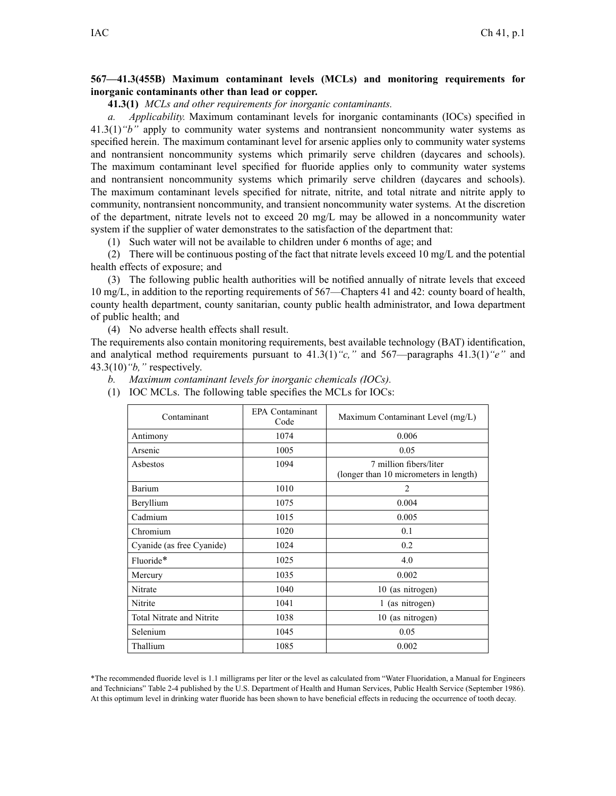## **567—41.3(455B) Maximum contaminant levels (MCLs) and monitoring requirements for inorganic contaminants other than lead or copper.**

**41.3(1)** *MCLs and other requirements for inorganic contaminants.*

*a. Applicability.* Maximum contaminant levels for inorganic contaminants (IOCs) specified in 41.3(1)*"b"* apply to community water systems and nontransient noncommunity water systems as specified herein. The maximum contaminant level for arsenic applies only to community water systems and nontransient noncommunity systems which primarily serve children (daycares and schools). The maximum contaminant level specified for fluoride applies only to community water systems and nontransient noncommunity systems which primarily serve children (daycares and schools). The maximum contaminant levels specified for nitrate, nitrite, and total nitrate and nitrite apply to community, nontransient noncommunity, and transient noncommunity water systems. At the discretion of the department, nitrate levels not to exceed 20 mg/L may be allowed in <sup>a</sup> noncommunity water system if the supplier of water demonstrates to the satisfaction of the department that:

(1) Such water will not be available to children under 6 months of age; and

(2) There will be continuous posting of the fact that nitrate levels exceed 10 mg/L and the potential health effects of exposure; and

(3) The following public health authorities will be notified annually of nitrate levels that exceed 10 mg/L, in addition to the reporting requirements of 567—Chapters 41 and 42: county board of health, county health department, county sanitarian, county public health administrator, and Iowa department of public health; and

(4) No adverse health effects shall result.

The requirements also contain monitoring requirements, best available technology (BAT) identification, and analytical method requirements pursuan<sup>t</sup> to 41.3(1)*"c,"* and 567—paragraphs 41.3(1)*"e"* and 43.3(10)*"b,"* respectively.

- *b. Maximum contaminant levels for inorganic chemicals (IOCs).*
- (1) IOC MCLs. The following table specifies the MCLs for IOCs:

| Contaminant               | <b>EPA</b> Contaminant<br>Code | Maximum Contaminant Level (mg/L)                                 |  |
|---------------------------|--------------------------------|------------------------------------------------------------------|--|
| Antimony                  | 1074                           | 0.006                                                            |  |
| Arsenic                   | 1005                           | 0.05                                                             |  |
| Asbestos                  | 1094                           | 7 million fibers/liter<br>(longer than 10 micrometers in length) |  |
| Barium                    | 1010                           | 2                                                                |  |
| Beryllium                 | 1075                           | 0.004                                                            |  |
| Cadmium                   | 1015                           | 0.005                                                            |  |
| Chromium                  | 1020                           | 0.1                                                              |  |
| Cyanide (as free Cyanide) | 1024                           | 0.2                                                              |  |
| Fluoride*                 | 1025                           | 4.0                                                              |  |
| Mercury                   | 1035                           | 0.002                                                            |  |
| Nitrate                   | 1040                           | 10 (as nitrogen)                                                 |  |
| Nitrite                   | 1041                           | 1 (as nitrogen)                                                  |  |
| Total Nitrate and Nitrite | 1038                           | 10 (as nitrogen)                                                 |  |
| Selenium                  | 1045                           | 0.05                                                             |  |
| Thallium                  | 1085                           | 0.002                                                            |  |

\*The recommended fluoride level is 1.1 milligrams per liter or the level as calculated from "Water Fluoridation, <sup>a</sup> Manual for Engineers and Technicians" Table 2-4 published by the U.S. Department of Health and Human Services, Public Health Service (September 1986). At this optimum level in drinking water fluoride has been shown to have beneficial effects in reducing the occurrence of tooth decay.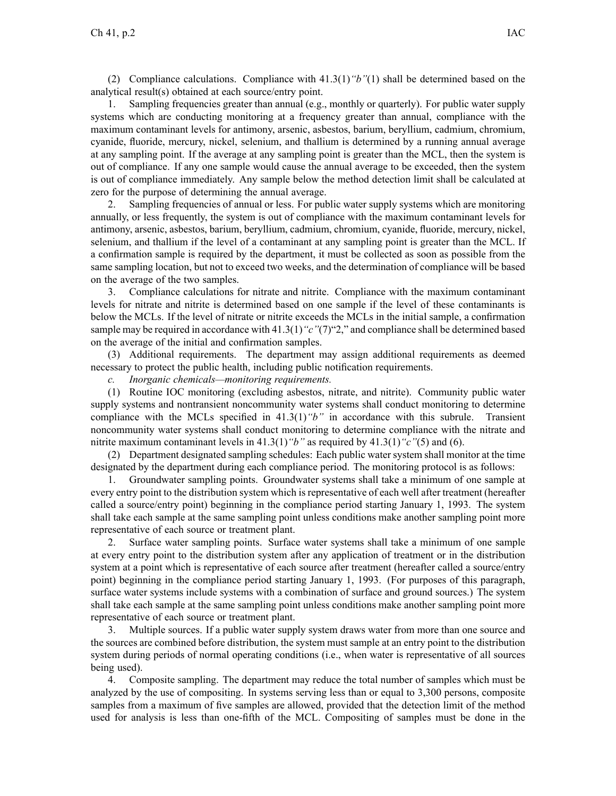(2) Compliance calculations. Compliance with 41.3(1)*"b"*(1) shall be determined based on the analytical result(s) obtained at each source/entry point.

Sampling frequencies greater than annual (e.g., monthly or quarterly). For public water supply systems which are conducting monitoring at <sup>a</sup> frequency greater than annual, compliance with the maximum contaminant levels for antimony, arsenic, asbestos, barium, beryllium, cadmium, chromium, cyanide, fluoride, mercury, nickel, selenium, and thallium is determined by <sup>a</sup> running annual average at any sampling point. If the average at any sampling point is greater than the MCL, then the system is out of compliance. If any one sample would cause the annual average to be exceeded, then the system is out of compliance immediately. Any sample below the method detection limit shall be calculated at zero for the purpose of determining the annual average.

2. Sampling frequencies of annual or less. For public water supply systems which are monitoring annually, or less frequently, the system is out of compliance with the maximum contaminant levels for antimony, arsenic, asbestos, barium, beryllium, cadmium, chromium, cyanide, fluoride, mercury, nickel, selenium, and thallium if the level of <sup>a</sup> contaminant at any sampling point is greater than the MCL. If <sup>a</sup> confirmation sample is required by the department, it must be collected as soon as possible from the same sampling location, but not to exceed two weeks, and the determination of compliance will be based on the average of the two samples.

3. Compliance calculations for nitrate and nitrite. Compliance with the maximum contaminant levels for nitrate and nitrite is determined based on one sample if the level of these contaminants is below the MCLs. If the level of nitrate or nitrite exceeds the MCLs in the initial sample, <sup>a</sup> confirmation sample may be required in accordance with 41.3(1)*"c"*(7)"2," and compliance shall be determined based on the average of the initial and confirmation samples.

(3) Additional requirements. The department may assign additional requirements as deemed necessary to protect the public health, including public notification requirements.

*c. Inorganic chemicals—monitoring requirements.*

(1) Routine IOC monitoring (excluding asbestos, nitrate, and nitrite). Community public water supply systems and nontransient noncommunity water systems shall conduct monitoring to determine compliance with the MCLs specified in 41.3(1)*"b"* in accordance with this subrule. Transient noncommunity water systems shall conduct monitoring to determine compliance with the nitrate and nitrite maximum contaminant levels in 41.3(1)*"b"* as required by 41.3(1)*"c"*(5) and (6).

(2) Department designated sampling schedules: Each public water system shall monitor at the time designated by the department during each compliance period. The monitoring protocol is as follows:

1. Groundwater sampling points. Groundwater systems shall take <sup>a</sup> minimum of one sample at every entry point to the distribution system which is representative of each well after treatment (hereafter called <sup>a</sup> source/entry point) beginning in the compliance period starting January 1, 1993. The system shall take each sample at the same sampling point unless conditions make another sampling point more representative of each source or treatment plant.

2. Surface water sampling points. Surface water systems shall take <sup>a</sup> minimum of one sample at every entry point to the distribution system after any application of treatment or in the distribution system at <sup>a</sup> point which is representative of each source after treatment (hereafter called <sup>a</sup> source/entry point) beginning in the compliance period starting January 1, 1993. (For purposes of this paragraph, surface water systems include systems with <sup>a</sup> combination of surface and ground sources.) The system shall take each sample at the same sampling point unless conditions make another sampling point more representative of each source or treatment plant.

3. Multiple sources. If <sup>a</sup> public water supply system draws water from more than one source and the sources are combined before distribution, the system must sample at an entry point to the distribution system during periods of normal operating conditions (i.e., when water is representative of all sources being used).

4. Composite sampling. The department may reduce the total number of samples which must be analyzed by the use of compositing. In systems serving less than or equal to 3,300 persons, composite samples from <sup>a</sup> maximum of five samples are allowed, provided that the detection limit of the method used for analysis is less than one-fifth of the MCL. Compositing of samples must be done in the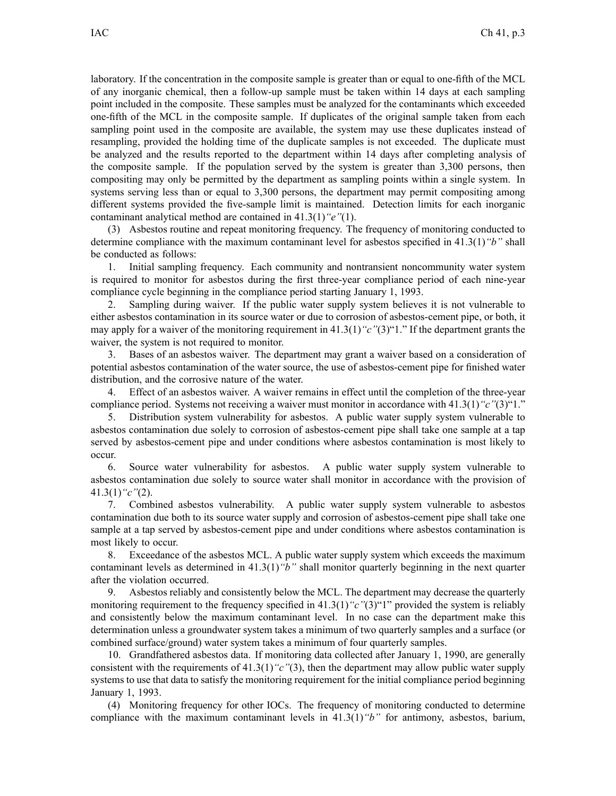laboratory. If the concentration in the composite sample is greater than or equal to one-fifth of the MCL of any inorganic chemical, then <sup>a</sup> follow-up sample must be taken within 14 days at each sampling point included in the composite. These samples must be analyzed for the contaminants which exceeded one-fifth of the MCL in the composite sample. If duplicates of the original sample taken from each sampling point used in the composite are available, the system may use these duplicates instead of resampling, provided the holding time of the duplicate samples is not exceeded. The duplicate must be analyzed and the results reported to the department within 14 days after completing analysis of the composite sample. If the population served by the system is greater than 3,300 persons, then compositing may only be permitted by the department as sampling points within <sup>a</sup> single system. In systems serving less than or equal to 3,300 persons, the department may permit compositing among different systems provided the five-sample limit is maintained. Detection limits for each inorganic contaminant analytical method are contained in 41.3(1)*"e"*(1).

(3) Asbestos routine and repea<sup>t</sup> monitoring frequency. The frequency of monitoring conducted to determine compliance with the maximum contaminant level for asbestos specified in 41.3(1)*"b"* shall be conducted as follows:

1. Initial sampling frequency. Each community and nontransient noncommunity water system is required to monitor for asbestos during the first three-year compliance period of each nine-year compliance cycle beginning in the compliance period starting January 1, 1993.

2. Sampling during waiver. If the public water supply system believes it is not vulnerable to either asbestos contamination in its source water or due to corrosion of asbestos-cement pipe, or both, it may apply for <sup>a</sup> waiver of the monitoring requirement in 41.3(1)*"c"*(3)"1." If the department grants the waiver, the system is not required to monitor.

3. Bases of an asbestos waiver. The department may gran<sup>t</sup> <sup>a</sup> waiver based on <sup>a</sup> consideration of potential asbestos contamination of the water source, the use of asbestos-cement pipe for finished water distribution, and the corrosive nature of the water.

4. Effect of an asbestos waiver. A waiver remains in effect until the completion of the three-year compliance period. Systems not receiving <sup>a</sup> waiver must monitor in accordance with 41.3(1)*"c"*(3)"1."

5. Distribution system vulnerability for asbestos. A public water supply system vulnerable to asbestos contamination due solely to corrosion of asbestos-cement pipe shall take one sample at <sup>a</sup> tap served by asbestos-cement pipe and under conditions where asbestos contamination is most likely to occur.

6. Source water vulnerability for asbestos. A public water supply system vulnerable to asbestos contamination due solely to source water shall monitor in accordance with the provision of 41.3(1)*"c"*(2).

7. Combined asbestos vulnerability. A public water supply system vulnerable to asbestos contamination due both to its source water supply and corrosion of asbestos-cement pipe shall take one sample at <sup>a</sup> tap served by asbestos-cement pipe and under conditions where asbestos contamination is most likely to occur.

8. Exceedance of the asbestos MCL. A public water supply system which exceeds the maximum contaminant levels as determined in 41.3(1)*"b"* shall monitor quarterly beginning in the next quarter after the violation occurred.

9. Asbestos reliably and consistently below the MCL. The department may decrease the quarterly monitoring requirement to the frequency specified in 41.3(1)<sup>"c</sup>"(3)<sup>"1</sup>" provided the system is reliably and consistently below the maximum contaminant level. In no case can the department make this determination unless <sup>a</sup> groundwater system takes <sup>a</sup> minimum of two quarterly samples and <sup>a</sup> surface (or combined surface/ground) water system takes <sup>a</sup> minimum of four quarterly samples.

10. Grandfathered asbestos data. If monitoring data collected after January 1, 1990, are generally consistent with the requirements of 41.3(1)*"c"*(3), then the department may allow public water supply systems to use that data to satisfy the monitoring requirement for the initial compliance period beginning January 1, 1993.

(4) Monitoring frequency for other IOCs. The frequency of monitoring conducted to determine compliance with the maximum contaminant levels in 41.3(1)*"b"* for antimony, asbestos, barium,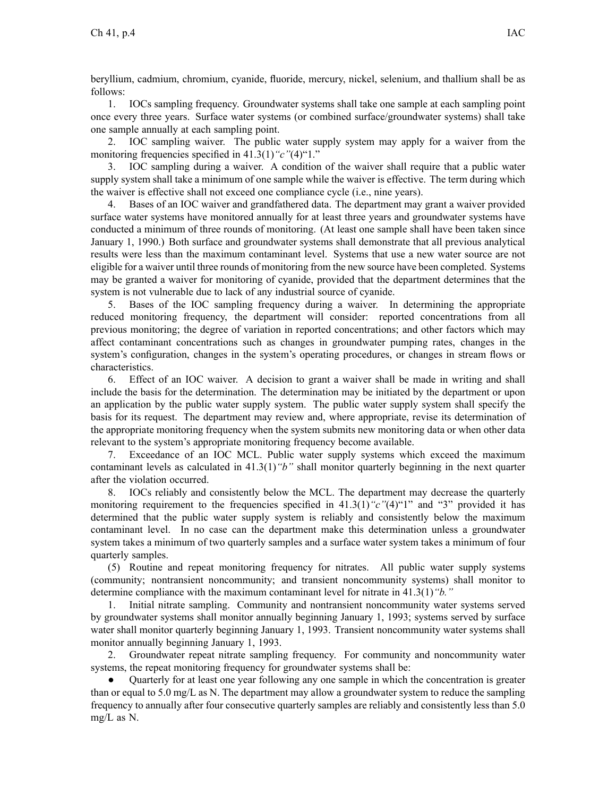beryllium, cadmium, chromium, cyanide, fluoride, mercury, nickel, selenium, and thallium shall be as follows:

1. IOCs sampling frequency. Groundwater systems shall take one sample at each sampling point once every three years. Surface water systems (or combined surface/groundwater systems) shall take one sample annually at each sampling point.

2. IOC sampling waiver. The public water supply system may apply for <sup>a</sup> waiver from the monitoring frequencies specified in 41.3(1)*"c"*(4)"1."

3. IOC sampling during <sup>a</sup> waiver. A condition of the waiver shall require that <sup>a</sup> public water supply system shall take <sup>a</sup> minimum of one sample while the waiver is effective. The term during which the waiver is effective shall not exceed one compliance cycle (i.e., nine years).

4. Bases of an IOC waiver and grandfathered data. The department may gran<sup>t</sup> <sup>a</sup> waiver provided surface water systems have monitored annually for at least three years and groundwater systems have conducted <sup>a</sup> minimum of three rounds of monitoring. (At least one sample shall have been taken since January 1, 1990.) Both surface and groundwater systems shall demonstrate that all previous analytical results were less than the maximum contaminant level. Systems that use <sup>a</sup> new water source are not eligible for <sup>a</sup> waiver until three rounds of monitoring from the new source have been completed. Systems may be granted <sup>a</sup> waiver for monitoring of cyanide, provided that the department determines that the system is not vulnerable due to lack of any industrial source of cyanide.

5. Bases of the IOC sampling frequency during <sup>a</sup> waiver. In determining the appropriate reduced monitoring frequency, the department will consider: reported concentrations from all previous monitoring; the degree of variation in reported concentrations; and other factors which may affect contaminant concentrations such as changes in groundwater pumping rates, changes in the system's configuration, changes in the system's operating procedures, or changes in stream flows or characteristics.

6. Effect of an IOC waiver. A decision to gran<sup>t</sup> <sup>a</sup> waiver shall be made in writing and shall include the basis for the determination. The determination may be initiated by the department or upon an application by the public water supply system. The public water supply system shall specify the basis for its request. The department may review and, where appropriate, revise its determination of the appropriate monitoring frequency when the system submits new monitoring data or when other data relevant to the system's appropriate monitoring frequency become available.

7. Exceedance of an IOC MCL. Public water supply systems which exceed the maximum contaminant levels as calculated in 41.3(1)*"b"* shall monitor quarterly beginning in the next quarter after the violation occurred.

8. IOCs reliably and consistently below the MCL. The department may decrease the quarterly monitoring requirement to the frequencies specified in  $41.3(1)$  "c"(4)"1" and "3" provided it has determined that the public water supply system is reliably and consistently below the maximum contaminant level. In no case can the department make this determination unless <sup>a</sup> groundwater system takes <sup>a</sup> minimum of two quarterly samples and <sup>a</sup> surface water system takes <sup>a</sup> minimum of four quarterly samples.

(5) Routine and repea<sup>t</sup> monitoring frequency for nitrates. All public water supply systems (community; nontransient noncommunity; and transient noncommunity systems) shall monitor to determine compliance with the maximum contaminant level for nitrate in 41.3(1)*"b."*

1. Initial nitrate sampling. Community and nontransient noncommunity water systems served by groundwater systems shall monitor annually beginning January 1, 1993; systems served by surface water shall monitor quarterly beginning January 1, 1993. Transient noncommunity water systems shall monitor annually beginning January 1, 1993.

2. Groundwater repea<sup>t</sup> nitrate sampling frequency. For community and noncommunity water systems, the repea<sup>t</sup> monitoring frequency for groundwater systems shall be:

● Quarterly for at least one year following any one sample in which the concentration is greater than or equal to 5.0 mg/L as N. The department may allow <sup>a</sup> groundwater system to reduce the sampling frequency to annually after four consecutive quarterly samples are reliably and consistently less than 5.0 mg/L as N.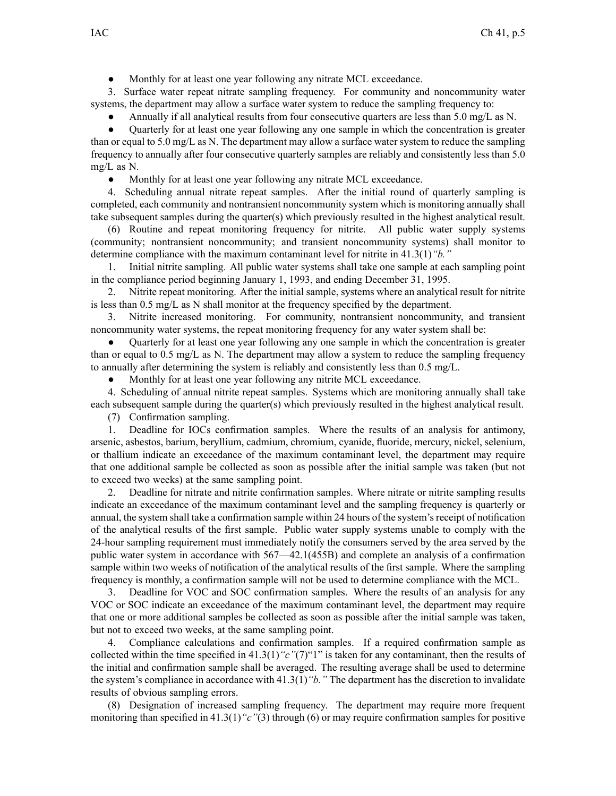$\bullet$ Monthly for at least one year following any nitrate MCL exceedance.

3. Surface water repea<sup>t</sup> nitrate sampling frequency. For community and noncommunity water systems, the department may allow <sup>a</sup> surface water system to reduce the sampling frequency to:

●Annually if all analytical results from four consecutive quarters are less than 5.0 mg/L as N.

● Quarterly for at least one year following any one sample in which the concentration is greater than or equal to 5.0 mg/L as N. The department may allow <sup>a</sup> surface water system to reduce the sampling frequency to annually after four consecutive quarterly samples are reliably and consistently less than 5.0 mg/L as N.

●Monthly for at least one year following any nitrate MCL exceedance.

4. Scheduling annual nitrate repea<sup>t</sup> samples. After the initial round of quarterly sampling is completed, each community and nontransient noncommunity system which is monitoring annually shall take subsequent samples during the quarter(s) which previously resulted in the highest analytical result.

(6) Routine and repea<sup>t</sup> monitoring frequency for nitrite. All public water supply systems (community; nontransient noncommunity; and transient noncommunity systems) shall monitor to determine compliance with the maximum contaminant level for nitrite in 41.3(1)*"b."*

1. Initial nitrite sampling. All public water systems shall take one sample at each sampling point in the compliance period beginning January 1, 1993, and ending December 31, 1995.

2. Nitrite repea<sup>t</sup> monitoring. After the initial sample, systems where an analytical result for nitrite is less than 0.5 mg/L as N shall monitor at the frequency specified by the department.

3. Nitrite increased monitoring. For community, nontransient noncommunity, and transient noncommunity water systems, the repea<sup>t</sup> monitoring frequency for any water system shall be:

 $\bullet$  Quarterly for at least one year following any one sample in which the concentration is greater than or equal to 0.5 mg/L as N. The department may allow <sup>a</sup> system to reduce the sampling frequency to annually after determining the system is reliably and consistently less than 0.5 mg/L.

●Monthly for at least one year following any nitrite MCL exceedance.

4. Scheduling of annual nitrite repea<sup>t</sup> samples. Systems which are monitoring annually shall take each subsequent sample during the quarter(s) which previously resulted in the highest analytical result.

(7) Confirmation sampling.

1. Deadline for IOCs confirmation samples. Where the results of an analysis for antimony, arsenic, asbestos, barium, beryllium, cadmium, chromium, cyanide, fluoride, mercury, nickel, selenium, or thallium indicate an exceedance of the maximum contaminant level, the department may require that one additional sample be collected as soon as possible after the initial sample was taken (but not to exceed two weeks) at the same sampling point.

2. Deadline for nitrate and nitrite confirmation samples. Where nitrate or nitrite sampling results indicate an exceedance of the maximum contaminant level and the sampling frequency is quarterly or annual, the system shall take a confirmation sample within 24 hours of the system's receipt of notification of the analytical results of the first sample. Public water supply systems unable to comply with the 24-hour sampling requirement must immediately notify the consumers served by the area served by the public water system in accordance with 567—42.1(455B) and complete an analysis of <sup>a</sup> confirmation sample within two weeks of notification of the analytical results of the first sample. Where the sampling frequency is monthly, <sup>a</sup> confirmation sample will not be used to determine compliance with the MCL.

3. Deadline for VOC and SOC confirmation samples. Where the results of an analysis for any VOC or SOC indicate an exceedance of the maximum contaminant level, the department may require that one or more additional samples be collected as soon as possible after the initial sample was taken, but not to exceed two weeks, at the same sampling point.

4. Compliance calculations and confirmation samples. If <sup>a</sup> required confirmation sample as collected within the time specified in 41.3(1)*"c"*(7)"1" is taken for any contaminant, then the results of the initial and confirmation sample shall be averaged. The resulting average shall be used to determine the system's compliance in accordance with 41.3(1)*"b."* The department has the discretion to invalidate results of obvious sampling errors.

(8) Designation of increased sampling frequency. The department may require more frequent monitoring than specified in 41.3(1)*"c"*(3) through (6) or may require confirmation samples for positive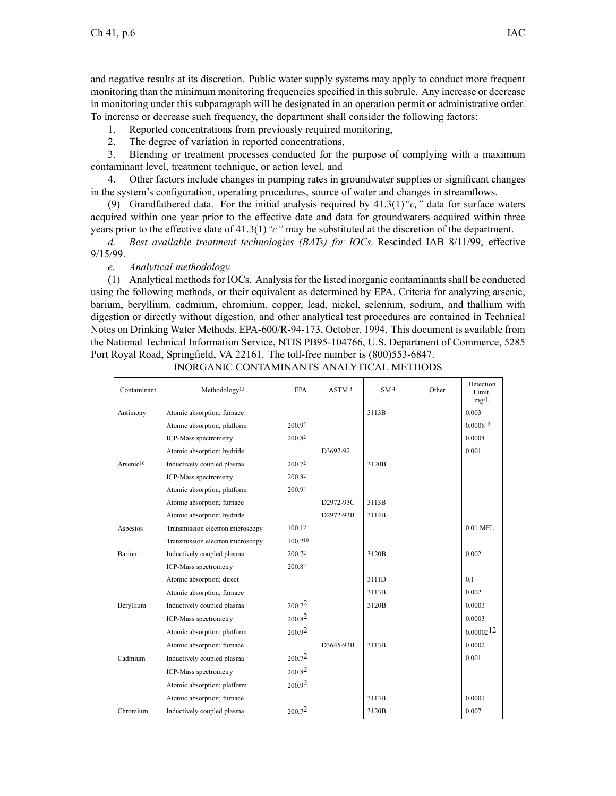and negative results at its discretion. Public water supply systems may apply to conduct more frequent monitoring than the minimum monitoring frequencies specified in this subrule. Any increase or decrease in monitoring under this subparagraph will be designated in an operation permit or administrative order. To increase or decrease such frequency, the department shall consider the following factors:

1. Reported concentrations from previously required monitoring,

2. The degree of variation in reported concentrations,

3. Blending or treatment processes conducted for the purpose of complying with <sup>a</sup> maximum contaminant level, treatment technique, or action level, and

4. Other factors include changes in pumping rates in groundwater supplies or significant changes in the system's configuration, operating procedures, source of water and changes in streamflows.

(9) Grandfathered data. For the initial analysis required by 41.3(1)*"c,"* data for surface waters acquired within one year prior to the effective date and data for groundwaters acquired within three years prior to the effective date of 41.3(1)*"c"* may be substituted at the discretion of the department.

*d. Best available treatment technologies (BATs) for IOCs.* Rescinded IAB 8/11/99, effective 9/15/99.

*e. Analytical methodology.*

(1) Analytical methods for IOCs. Analysis for the listed inorganic contaminants shall be conducted using the following methods, or their equivalent as determined by EPA. Criteria for analyzing arsenic, barium, beryllium, cadmium, chromium, copper, lead, nickel, selenium, sodium, and thallium with digestion or directly without digestion, and other analytical test procedures are contained in Technical Notes on Drinking Water Methods, EPA-600/R-94-173, October, 1994. This document is available from the National Technical Information Service, NTIS PB95-104766, U.S. Department of Commerce, 5285 Port Royal Road, Springfield, VA 22161. The toll-free number is (800)553-6847.

| Contaminant           | Methodology <sup>15</sup>        | <b>EPA</b>         | ASTM <sup>3</sup> | SM <sup>4</sup> | Other | Detection<br>Limit,<br>mg/L |
|-----------------------|----------------------------------|--------------------|-------------------|-----------------|-------|-----------------------------|
| Antimony              | Atomic absorption; furnace       |                    |                   | 3113B           |       | 0.003                       |
|                       | Atomic absorption; platform      | 200.92             |                   |                 |       | 0.000812                    |
|                       | ICP-Mass spectrometry            | 200.82             |                   |                 |       | 0.0004                      |
|                       | Atomic absorption; hydride       |                    | D3697-92          |                 |       | 0.001                       |
| Arsenic <sup>16</sup> | Inductively coupled plasma       | 200.72             |                   | 3120B           |       |                             |
|                       | ICP-Mass spectrometry            | 200.82             |                   |                 |       |                             |
|                       | Atomic absorption; platform      | 200.92             |                   |                 |       |                             |
|                       | Atomic absorption; furnace       |                    | D2972-93C         | 3113B           |       |                             |
|                       | Atomic absorption; hydride       |                    | D2972-93B         | 3114B           |       |                             |
| Asbestos              | Transmission electron microscopy | 100.19             |                   |                 |       | $0.01$ MFL.                 |
|                       | Transmission electron microscopy | 100.210            |                   |                 |       |                             |
| Barium                | Inductively coupled plasma       | 200.72             |                   | 3120B           |       | 0.002                       |
|                       | ICP-Mass spectrometry            | 200.82             |                   |                 |       |                             |
|                       | Atomic absorption; direct        |                    |                   | 3111D           |       | 0.1                         |
|                       | Atomic absorption; furnace       |                    |                   | 3113B           |       | 0.002                       |
| Beryllium             | Inductively coupled plasma       | $200.7^{2}$        |                   | 3120B           |       | 0.0003                      |
|                       | ICP-Mass spectrometry            | $200.8^2$          |                   |                 |       | 0.0003                      |
|                       | Atomic absorption; platform      | 200.9 <sup>2</sup> |                   |                 |       | $0.00002$ <sup>12</sup>     |
|                       | Atomic absorption; furnace       |                    | D3645-93B         | 3113B           |       | 0.0002                      |
| Cadmium               | Inductively coupled plasma       | $200.7^{2}$        |                   |                 |       | 0.001                       |
|                       | ICP-Mass spectrometry            | $200.8^2$          |                   |                 |       |                             |
|                       | Atomic absorption; platform      | $200.9^{2}$        |                   |                 |       |                             |
|                       | Atomic absorption; furnace       |                    |                   | 3113B           |       | 0.0001                      |
| Chromium              | Inductively coupled plasma       | $200.7^{2}$        |                   | 3120B           |       | 0.007                       |

INORGANIC CONTAMINANTS ANALYTICAL METHODS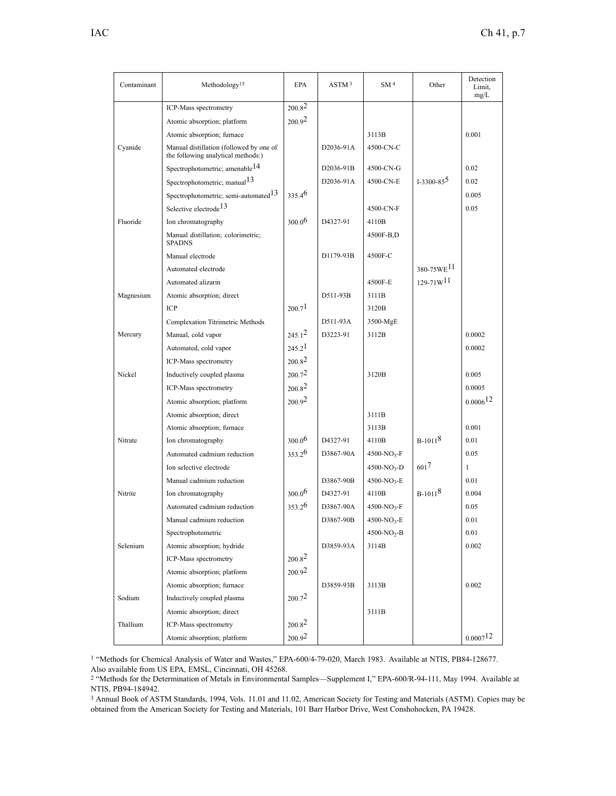| Contaminant | Methodology <sup>15</sup>                                                     | EPA                | ASTM <sup>3</sup> | SM <sup>4</sup>         | Other                  | Detection<br>Limit,<br>mg/L |
|-------------|-------------------------------------------------------------------------------|--------------------|-------------------|-------------------------|------------------------|-----------------------------|
|             | ICP-Mass spectrometry                                                         | $200.8^{2}$        |                   |                         |                        |                             |
|             | Atomic absorption; platform                                                   | $200.9^{2}$        |                   |                         |                        |                             |
|             | Atomic absorption; furnace                                                    |                    |                   | 3113B                   |                        | 0.001                       |
| Cyanide     | Manual distillation (followed by one of<br>the following analytical methods:) |                    | D2036-91A         | 4500-CN-C               |                        |                             |
|             | Spectrophotometric; amenable <sup>14</sup>                                    |                    | D2036-91B         | 4500-CN-G               |                        | 0.02                        |
|             | Spectrophotometric; manual <sup>13</sup>                                      |                    | D2036-91A         | 4500-CN-E               | $I-3300-85^5$          | 0.02                        |
|             | Spectrophotometric; semi-automated <sup>13</sup>                              | 335.46             |                   |                         |                        | 0.005                       |
|             | Selective electrode <sup>13</sup>                                             |                    |                   | 4500-CN-F               |                        | 0.05                        |
| Fluoride    | Ion chromatography                                                            | 300.0 <sup>6</sup> | D4327-91          | 4110B                   |                        |                             |
|             | Manual distillation; colorimetric;<br><b>SPADNS</b>                           |                    |                   | 4500F-B,D               |                        |                             |
|             | Manual electrode                                                              |                    | D1179-93B         | 4500F-C                 |                        |                             |
|             | Automated electrode                                                           |                    |                   |                         | 380-75WE <sup>11</sup> |                             |
|             | Automated alizarin                                                            |                    |                   | 4500F-E                 | 129-71W <sup>11</sup>  |                             |
| Magnesium   | Atomic absorption; direct                                                     |                    | D511-93B          | 3111B                   |                        |                             |
|             | ICP                                                                           | 200.7 <sup>1</sup> |                   | 3120B                   |                        |                             |
|             | <b>Complexation Titrimetric Methods</b>                                       |                    | D511-93A          | 3500-MgE                |                        |                             |
| Mercury     | Manual, cold vapor                                                            | $245.1^2$          | D3223-91          | 3112B                   |                        | 0.0002                      |
|             | Automated, cold vapor                                                         | 245.2 <sup>1</sup> |                   |                         |                        | 0.0002                      |
|             | ICP-Mass spectrometry                                                         | $200.8^2$          |                   |                         |                        |                             |
| Nickel      | Inductively coupled plasma                                                    | $200.7^{2}$        |                   | 3120B                   |                        | 0.005                       |
|             | ICP-Mass spectrometry                                                         | $200.8^2$          |                   |                         |                        | 0.0005                      |
|             | Atomic absorption; platform                                                   | 200.9 <sup>2</sup> |                   |                         |                        | 0.000612                    |
|             | Atomic absorption; direct                                                     |                    |                   | 3111B                   |                        |                             |
|             | Atomic absorption; furnace                                                    |                    |                   | 3113B                   |                        | 0.001                       |
| Nitrate     | Ion chromatography                                                            | 300.0 <sup>6</sup> | D4327-91          | 4110B                   | $B-10118$              | 0.01                        |
|             | Automated cadmium reduction                                                   | 353.26             | D3867-90A         | $4500-NO_3-F$           |                        | 0.05                        |
|             | Ion selective electrode                                                       |                    |                   | 4500-NO <sub>3</sub> -D | 601'                   | $\mathbf{1}$                |
|             | Manual cadmium reduction                                                      |                    | D3867-90B         | $4500-NO_3-E$           |                        | 0.01                        |
| Nitrite     | Ion chromatography                                                            | 300.0 <sup>6</sup> | D4327-91          | 4110B                   | $B-10118$              | 0.004                       |
|             | Automated cadmium reduction                                                   | 353.26             | D3867-90A         | $4500-NO_3-F$           |                        | 0.05                        |
|             | Manual cadmium reduction                                                      |                    | D3867-90B         | $4500 - NO_3 - E$       |                        | 0.01                        |
|             | Spectrophotometric                                                            |                    |                   | 4500- $NO2$ -B          |                        | 0.01                        |
| Selenium    | Atomic absorption; hydride                                                    |                    | D3859-93A         | 3114B                   |                        | 0.002                       |
|             | ICP-Mass spectrometry                                                         | $200.8^2$          |                   |                         |                        |                             |
|             | Atomic absorption; platform                                                   | $200.9^{2}$        |                   |                         |                        |                             |
|             | Atomic absorption; furnace                                                    |                    | D3859-93B         | 3113B                   |                        | 0.002                       |
| Sodium      | Inductively coupled plasma                                                    | $200.7^{2}$        |                   |                         |                        |                             |
|             | Atomic absorption; direct                                                     |                    |                   | 3111B                   |                        |                             |
| Thallium    | ICP-Mass spectrometry                                                         | $200.8^{2}$        |                   |                         |                        |                             |
|             | Atomic absorption; platform                                                   | $200.9^{2}$        |                   |                         |                        | 0.000712                    |

1 "Methods for Chemical Analysis of Water and Wastes," EPA-600/4-79-020, March 1983. Available at NTIS, PB84-128677. Also available from US EPA, EMSL, Cincinnati, OH 45268.

<sup>2</sup> "Methods for the Determination of Metals in Environmental Samples—Supplement I," EPA-600/R-94-111, May 1994. Available at NTIS, PB94-184942.

<sup>3</sup> Annual Book of ASTM Standards, 1994, Vols. 11.01 and 11.02, American Society for Testing and Materials (ASTM). Copies may be obtained from the American Society for Testing and Materials, 101 Barr Harbor Drive, West Conshohocken, PA 19428.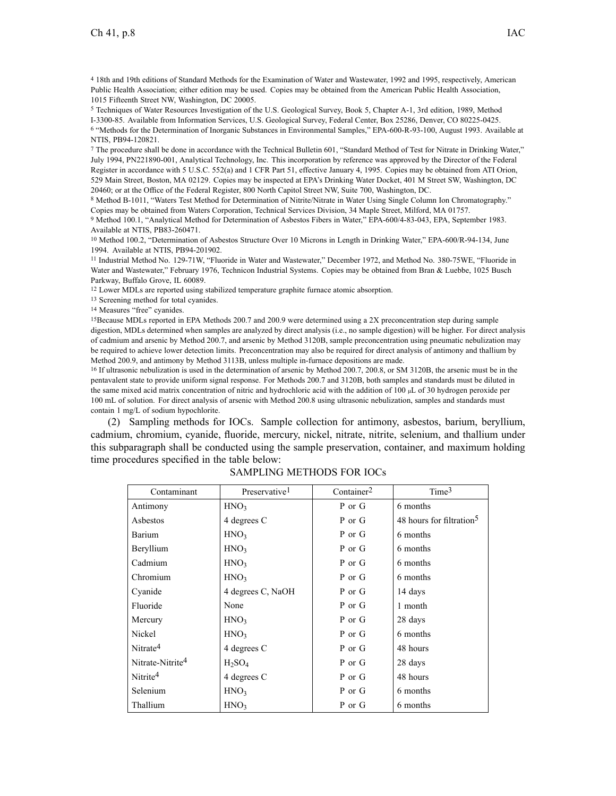<sup>4</sup> 18th and 19th editions of Standard Methods for the Examination of Water and Wastewater, 1992 and 1995, respectively, American Public Health Association; either edition may be used. Copies may be obtained from the American Public Health Association, 1015 Fifteenth Street NW, Washington, DC 20005.

<sup>5</sup> Techniques of Water Resources Investigation of the U.S. Geological Survey, Book 5, Chapter A-1, 3rd edition, 1989, Method

I-3300-85. Available from Information Services, U.S. Geological Survey, Federal Center, Box 25286, Denver, CO 80225-0425.

6 "Methods for the Determination of Inorganic Substances in Environmental Samples," EPA-600-R-93-100, August 1993. Available at NTIS, PB94-120821.

<sup>7</sup> The procedure shall be done in accordance with the Technical Bulletin 601, "Standard Method of Test for Nitrate in Drinking Water," July 1994, PN221890-001, Analytical Technology, Inc. This incorporation by reference was approved by the Director of the Federal Register in accordance with 5 U.S.C. 552(a) and 1 CFR Part 51, effective January 4, 1995. Copies may be obtained from ATI Orion, 529 Main Street, Boston, MA 02129. Copies may be inspected at EPA's Drinking Water Docket, 401 M Street SW, Washington, DC 20460; or at the Office of the Federal Register, 800 North Capitol Street NW, Suite 700, Washington, DC.

<sup>8</sup> Method B-1011, "Waters Test Method for Determination of Nitrite/Nitrate in Water Using Single Column Ion Chromatography." Copies may be obtained from Waters Corporation, Technical Services Division, 34 Maple Street, Milford, MA 01757.

<sup>9</sup> Method 100.1, "Analytical Method for Determination of Asbestos Fibers in Water," EPA-600/4-83-043, EPA, September 1983. Available at NTIS, PB83-260471.

<sup>10</sup> Method 100.2, "Determination of Asbestos Structure Over 10 Microns in Length in Drinking Water," EPA-600/R-94-134, June 1994. Available at NTIS, PB94-201902.

11 Industrial Method No. 129-71W, "Fluoride in Water and Wastewater," December 1972, and Method No. 380-75WE, "Fluoride in Water and Wastewater," February 1976, Technicon Industrial Systems. Copies may be obtained from Bran & Luebbe, 1025 Busch Parkway, Buffalo Grove, IL 60089.

<sup>12</sup> Lower MDLs are reported using stabilized temperature graphite furnace atomic absorption.

<sup>13</sup> Screening method for total cyanides.

<sup>14</sup> Measures "free" cyanides.

<sup>15</sup>Because MDLs reported in EPA Methods 200.7 and 200.9 were determined using <sup>a</sup> 2X preconcentration step during sample digestion, MDLs determined when samples are analyzed by direct analysis (i.e., no sample digestion) will be higher. For direct analysis of cadmium and arsenic by Method 200.7, and arsenic by Method 3120B, sample preconcentration using pneumatic nebulization may be required to achieve lower detection limits. Preconcentration may also be required for direct analysis of antimony and thallium by Method 200.9, and antimony by Method 3113B, unless multiple in-furnace depositions are made.

<sup>16</sup> If ultrasonic nebulization is used in the determination of arsenic by Method 200.7, 200.8, or SM 3120B, the arsenic must be in the pentavalent state to provide uniform signal response. For Methods 200.7 and 3120B, both samples and standards must be diluted in the same mixed acid matrix concentration of nitric and hydrochloric acid with the addition of 100 <sup>μ</sup>L of 30 hydrogen peroxide per 100 mL of solution. For direct analysis of arsenic with Method 200.8 using ultrasonic nebulization, samples and standards must contain 1 mg/L of sodium hypochlorite.

(2) Sampling methods for IOCs. Sample collection for antimony, asbestos, barium, beryllium, cadmium, chromium, cyanide, fluoride, mercury, nickel, nitrate, nitrite, selenium, and thallium under this subparagraph shall be conducted using the sample preservation, container, and maximum holding time procedures specified in the table below:

| Contaminant                  | Preservative <sup>1</sup> | Container <sup>2</sup> | Time <sup>3</sup>                    |
|------------------------------|---------------------------|------------------------|--------------------------------------|
| Antimony                     | HNO <sub>3</sub>          | P or G                 | 6 months                             |
| Asbestos                     | 4 degrees C               | P or G                 | 48 hours for filtration <sup>5</sup> |
| Barium                       | HNO <sub>3</sub>          | P or G                 | 6 months                             |
| Beryllium                    | HNO <sub>3</sub>          | P or G                 | 6 months                             |
| Cadmium                      | HNO <sub>3</sub>          | P or G                 | 6 months                             |
| Chromium                     | HNO <sub>3</sub>          | P or G                 | 6 months                             |
| Cyanide                      | 4 degrees C, NaOH         | P or G                 | 14 days                              |
| Fluoride                     | None                      | P or G                 | 1 month                              |
| Mercury                      | HNO <sub>3</sub>          | P or G                 | 28 days                              |
| Nickel                       | HNO <sub>3</sub>          | P or G                 | 6 months                             |
| Nitrate <sup>4</sup>         | 4 degrees C               | P or G                 | 48 hours                             |
| Nitrate-Nitrite <sup>4</sup> | $H_2SO_4$                 | P or G                 | 28 days                              |
| Nitrite <sup>4</sup>         | 4 degrees C               | P or G                 | 48 hours                             |
| Selenium                     | HNO <sub>3</sub>          | P or G                 | 6 months                             |
| Thallium                     | HNO <sub>3</sub>          | P or G                 | 6 months                             |

SAMPLING METHODS FOR IOCs